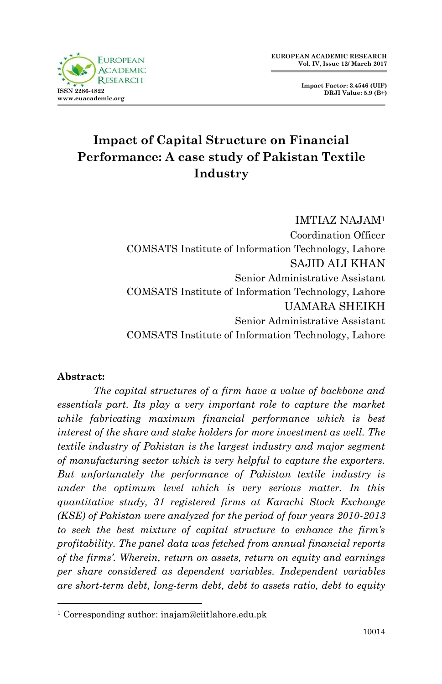

**Impact Factor: 3.4546 (UIF) DRJI Value: 5.9 (B+)**

# **Impact of Capital Structure on Financial Performance: A case study of Pakistan Textile Industry**

IMTIAZ NAJAM<sup>1</sup> Coordination Officer COMSATS Institute of Information Technology, Lahore SAJID ALI KHAN Senior Administrative Assistant COMSATS Institute of Information Technology, Lahore UAMARA SHEIKH Senior Administrative Assistant COMSATS Institute of Information Technology, Lahore

#### **Abstract:**

1

*The capital structures of a firm have a value of backbone and essentials part. Its play a very important role to capture the market while fabricating maximum financial performance which is best interest of the share and stake holders for more investment as well. The textile industry of Pakistan is the largest industry and major segment of manufacturing sector which is very helpful to capture the exporters. But unfortunately the performance of Pakistan textile industry is under the optimum level which is very serious matter. In this quantitative study, 31 registered firms at Karachi Stock Exchange (KSE) of Pakistan were analyzed for the period of four years 2010-2013 to seek the best mixture of capital structure to enhance the firm's profitability. The panel data was fetched from annual financial reports of the firms'. Wherein, return on assets, return on equity and earnings per share considered as dependent variables. Independent variables are short-term debt, long-term debt, debt to assets ratio, debt to equity* 

<sup>1</sup> Corresponding author: inajam@ciitlahore.edu.pk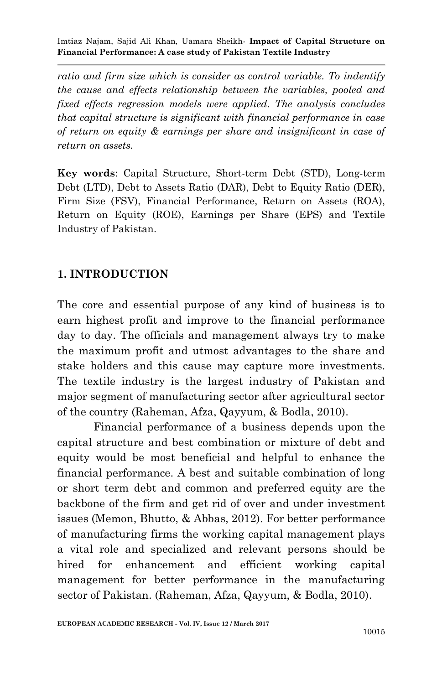*ratio and firm size which is consider as control variable. To indentify the cause and effects relationship between the variables, pooled and fixed effects regression models were applied. The analysis concludes that capital structure is significant with financial performance in case of return on equity & earnings per share and insignificant in case of return on assets.*

**Key words**: Capital Structure, Short-term Debt (STD), Long-term Debt (LTD), Debt to Assets Ratio (DAR), Debt to Equity Ratio (DER), Firm Size (FSV), Financial Performance, Return on Assets (ROA), Return on Equity (ROE), Earnings per Share (EPS) and Textile Industry of Pakistan.

#### **1. INTRODUCTION**

The core and essential purpose of any kind of business is to earn highest profit and improve to the financial performance day to day. The officials and management always try to make the maximum profit and utmost advantages to the share and stake holders and this cause may capture more investments. The textile industry is the largest industry of Pakistan and major segment of manufacturing sector after agricultural sector of the country (Raheman, Afza, Qayyum, & Bodla, 2010).

Financial performance of a business depends upon the capital structure and best combination or mixture of debt and equity would be most beneficial and helpful to enhance the financial performance. A best and suitable combination of long or short term debt and common and preferred equity are the backbone of the firm and get rid of over and under investment issues (Memon, Bhutto, & Abbas, 2012). For better performance of manufacturing firms the working capital management plays a vital role and specialized and relevant persons should be hired for enhancement and efficient working capital management for better performance in the manufacturing sector of Pakistan. (Raheman, Afza, Qayyum, & Bodla, 2010).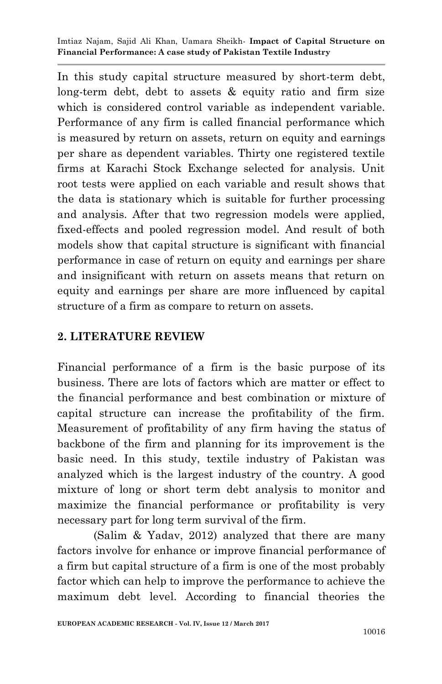In this study capital structure measured by short-term debt, long-term debt, debt to assets & equity ratio and firm size which is considered control variable as independent variable. Performance of any firm is called financial performance which is measured by return on assets, return on equity and earnings per share as dependent variables. Thirty one registered textile firms at Karachi Stock Exchange selected for analysis. Unit root tests were applied on each variable and result shows that the data is stationary which is suitable for further processing and analysis. After that two regression models were applied, fixed-effects and pooled regression model. And result of both models show that capital structure is significant with financial performance in case of return on equity and earnings per share and insignificant with return on assets means that return on equity and earnings per share are more influenced by capital structure of a firm as compare to return on assets.

### **2. LITERATURE REVIEW**

Financial performance of a firm is the basic purpose of its business. There are lots of factors which are matter or effect to the financial performance and best combination or mixture of capital structure can increase the profitability of the firm. Measurement of profitability of any firm having the status of backbone of the firm and planning for its improvement is the basic need. In this study, textile industry of Pakistan was analyzed which is the largest industry of the country. A good mixture of long or short term debt analysis to monitor and maximize the financial performance or profitability is very necessary part for long term survival of the firm.

(Salim & Yadav, 2012) analyzed that there are many factors involve for enhance or improve financial performance of a firm but capital structure of a firm is one of the most probably factor which can help to improve the performance to achieve the maximum debt level. According to financial theories the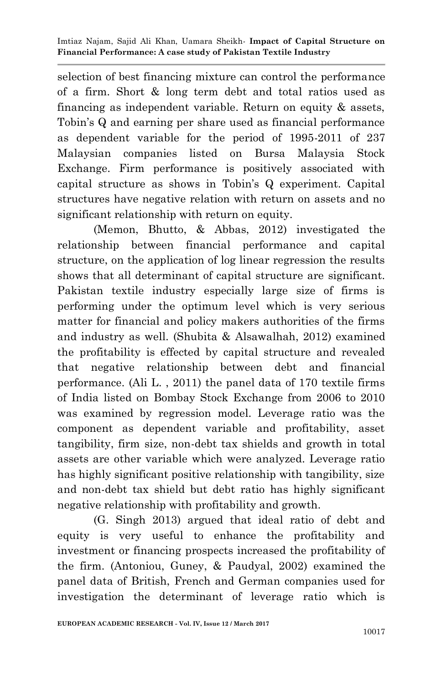selection of best financing mixture can control the performance of a firm. Short & long term debt and total ratios used as financing as independent variable. Return on equity & assets, Tobin's Q and earning per share used as financial performance as dependent variable for the period of 1995-2011 of 237 Malaysian companies listed on Bursa Malaysia Stock Exchange. Firm performance is positively associated with capital structure as shows in Tobin's Q experiment. Capital structures have negative relation with return on assets and no significant relationship with return on equity.

(Memon, Bhutto, & Abbas, 2012) investigated the relationship between financial performance and capital structure, on the application of log linear regression the results shows that all determinant of capital structure are significant. Pakistan textile industry especially large size of firms is performing under the optimum level which is very serious matter for financial and policy makers authorities of the firms and industry as well. (Shubita & Alsawalhah, 2012) examined the profitability is effected by capital structure and revealed that negative relationship between debt and financial performance. (Ali L. , 2011) the panel data of 170 textile firms of India listed on Bombay Stock Exchange from 2006 to 2010 was examined by regression model. Leverage ratio was the component as dependent variable and profitability, asset tangibility, firm size, non-debt tax shields and growth in total assets are other variable which were analyzed. Leverage ratio has highly significant positive relationship with tangibility, size and non-debt tax shield but debt ratio has highly significant negative relationship with profitability and growth.

(G. Singh 2013) argued that ideal ratio of debt and equity is very useful to enhance the profitability and investment or financing prospects increased the profitability of the firm. (Antoniou, Guney, & Paudyal, 2002) examined the panel data of British, French and German companies used for investigation the determinant of leverage ratio which is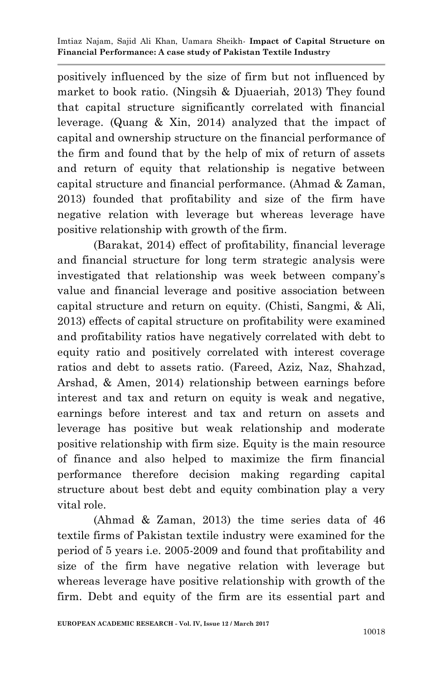positively influenced by the size of firm but not influenced by market to book ratio. (Ningsih & Djuaeriah, 2013) They found that capital structure significantly correlated with financial leverage. (Quang & Xin, 2014) analyzed that the impact of capital and ownership structure on the financial performance of the firm and found that by the help of mix of return of assets and return of equity that relationship is negative between capital structure and financial performance. (Ahmad & Zaman, 2013) founded that profitability and size of the firm have negative relation with leverage but whereas leverage have positive relationship with growth of the firm.

(Barakat, 2014) effect of profitability, financial leverage and financial structure for long term strategic analysis were investigated that relationship was week between company's value and financial leverage and positive association between capital structure and return on equity. (Chisti, Sangmi, & Ali, 2013) effects of capital structure on profitability were examined and profitability ratios have negatively correlated with debt to equity ratio and positively correlated with interest coverage ratios and debt to assets ratio. (Fareed, Aziz, Naz, Shahzad, Arshad, & Amen, 2014) relationship between earnings before interest and tax and return on equity is weak and negative, earnings before interest and tax and return on assets and leverage has positive but weak relationship and moderate positive relationship with firm size. Equity is the main resource of finance and also helped to maximize the firm financial performance therefore decision making regarding capital structure about best debt and equity combination play a very vital role.

(Ahmad & Zaman, 2013) the time series data of 46 textile firms of Pakistan textile industry were examined for the period of 5 years i.e. 2005-2009 and found that profitability and size of the firm have negative relation with leverage but whereas leverage have positive relationship with growth of the firm. Debt and equity of the firm are its essential part and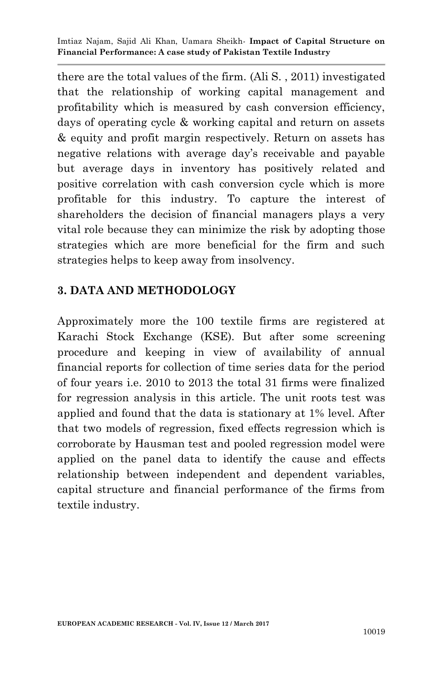there are the total values of the firm. (Ali S. , 2011) investigated that the relationship of working capital management and profitability which is measured by cash conversion efficiency, days of operating cycle & working capital and return on assets & equity and profit margin respectively. Return on assets has negative relations with average day's receivable and payable but average days in inventory has positively related and positive correlation with cash conversion cycle which is more profitable for this industry. To capture the interest of shareholders the decision of financial managers plays a very vital role because they can minimize the risk by adopting those strategies which are more beneficial for the firm and such strategies helps to keep away from insolvency.

#### **3. DATA AND METHODOLOGY**

Approximately more the 100 textile firms are registered at Karachi Stock Exchange (KSE). But after some screening procedure and keeping in view of availability of annual financial reports for collection of time series data for the period of four years i.e. 2010 to 2013 the total 31 firms were finalized for regression analysis in this article. The unit roots test was applied and found that the data is stationary at 1% level. After that two models of regression, fixed effects regression which is corroborate by Hausman test and pooled regression model were applied on the panel data to identify the cause and effects relationship between independent and dependent variables, capital structure and financial performance of the firms from textile industry.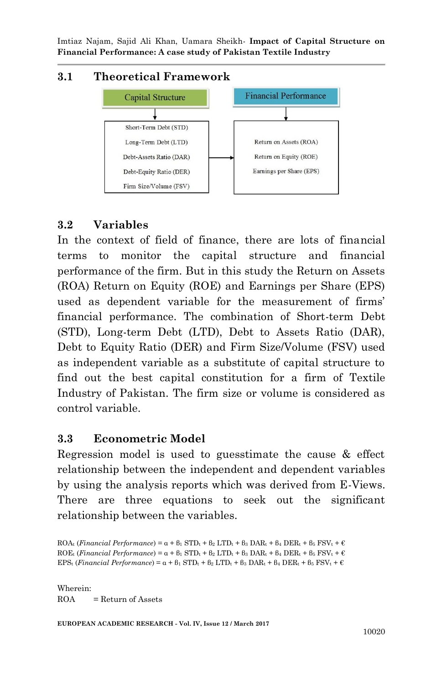#### **3.1 Theoretical Framework**



#### **3.2 Variables**

In the context of field of finance, there are lots of financial terms to monitor the capital structure and financial performance of the firm. But in this study the Return on Assets (ROA) Return on Equity (ROE) and Earnings per Share (EPS) used as dependent variable for the measurement of firms' financial performance. The combination of Short-term Debt (STD), Long-term Debt (LTD), Debt to Assets Ratio (DAR), Debt to Equity Ratio (DER) and Firm Size/Volume (FSV) used as independent variable as a substitute of capital structure to find out the best capital constitution for a firm of Textile Industry of Pakistan. The firm size or volume is considered as control variable.

#### **3.3 Econometric Model**

Regression model is used to guesstimate the cause & effect relationship between the independent and dependent variables by using the analysis reports which was derived from E-Views. There are three equations to seek out the significant relationship between the variables.

 $ROA_t$  (*Financial Performance*) =  $\alpha + \beta_1$  STD<sub>t</sub> +  $\beta_2$  LTD<sub>t</sub> +  $\beta_3$  DAR<sub>t</sub> +  $\beta_4$  DER<sub>t</sub> +  $\beta_5$  FSV<sub>t</sub> +  $\epsilon$  $ROE_t$  (*Financial Performance*) =  $\alpha + \beta_1$  STD<sub>t</sub> +  $\beta_2$  LTD<sub>t</sub> +  $\beta_3$  DAR<sub>t</sub> +  $\beta_4$  DER<sub>t</sub> +  $\beta_5$  FSV<sub>t</sub> +  $\epsilon$ EPS<sub>t</sub> (*Financial Performance*) =  $\alpha + \beta_1$  STD<sub>t</sub> +  $\beta_2$  LTD<sub>t</sub> +  $\beta_3$  DAR<sub>t</sub> +  $\beta_4$  DER<sub>t</sub> +  $\beta_5$  FSV<sub>t</sub> +  $\epsilon$ 

Wherein:  $ROA = Return of Assets$ 

**EUROPEAN ACADEMIC RESEARCH - Vol. IV, Issue 12 / March 2017**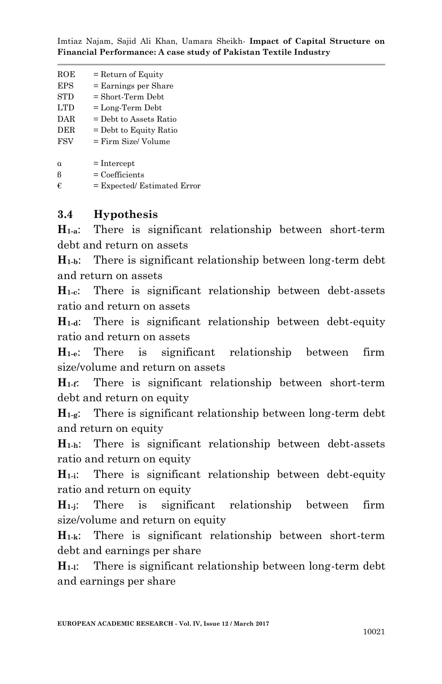| $_{\rm ROE}$<br>$=$ Return of Equity |  |
|--------------------------------------|--|
|--------------------------------------|--|

- $EPS = Earnines per Share$
- $STD = Short-Term Debt$
- $LTD = Long-Term Debt$
- $DAR = Debt$  to Assets Ratio  $DER = Debt to Equity Ratio$
- $FSV = Firm Size/ Volume$
- 
- $\alpha$  = Intercept
- $\beta$  = Coefficients
- $\epsilon$  = Expected/ Estimated Error

## **3.4 Hypothesis**

**H1-a**: There is significant relationship between short-term debt and return on assets

**H1-b**: There is significant relationship between long-term debt and return on assets

**H1-c**: There is significant relationship between debt-assets ratio and return on assets

**H1-d**: There is significant relationship between debt-equity ratio and return on assets

**H1-e**: There is significant relationship between firm size/volume and return on assets

**H1-f**: There is significant relationship between short-term debt and return on equity

**H1-g**: There is significant relationship between long-term debt and return on equity

**H1-h**: There is significant relationship between debt-assets ratio and return on equity

**H1-i**: There is significant relationship between debt-equity ratio and return on equity

**H1-j**: There is significant relationship between firm size/volume and return on equity

**H1-k**: There is significant relationship between short-term debt and earnings per share

**H1-l**: There is significant relationship between long-term debt and earnings per share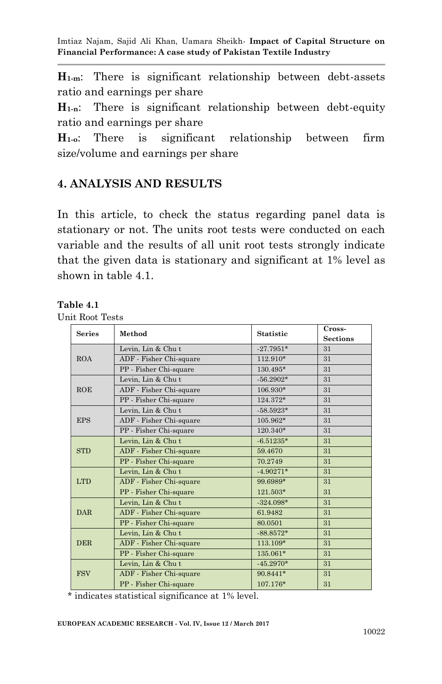**H1-m**: There is significant relationship between debt-assets ratio and earnings per share

**H1-n**: There is significant relationship between debt-equity ratio and earnings per share

**H1-o**: There is significant relationship between firm size/volume and earnings per share

## **4. ANALYSIS AND RESULTS**

In this article, to check the status regarding panel data is stationary or not. The units root tests were conducted on each variable and the results of all unit root tests strongly indicate that the given data is stationary and significant at 1% level as shown in table 4.1.

#### **Table 4.1**

Unit Root Tests

| <b>Series</b> | Method                  | <b>Statistic</b> | Cross-          |
|---------------|-------------------------|------------------|-----------------|
|               |                         |                  | <b>Sections</b> |
| <b>ROA</b>    | Levin, Lin & Chut       | $-27.7951*$      | 31              |
|               | ADF - Fisher Chi-square | 112.910*         | 31              |
|               | PP - Fisher Chi-square  | 130.495*         | 31              |
| ROE           | Levin, Lin & Chut       | $-56.2902*$      | 31              |
|               | ADF - Fisher Chi-square | 106.930*         | 31              |
|               | PP - Fisher Chi-square  | 124.372*         | 31              |
| <b>EPS</b>    | Levin, Lin & Chut       | $-58.5923*$      | 31              |
|               | ADF - Fisher Chi-square | 105.962*         | 31              |
|               | PP - Fisher Chi-square  | 120.340*         | 31              |
| <b>STD</b>    | Levin, Lin & Chut       | $-6.51235*$      | 31              |
|               | ADF - Fisher Chi-square | 59.4670          | 31              |
|               | PP - Fisher Chi-square  | 70.2749          | 31              |
| <b>LTD</b>    | Levin, Lin & Chut       | $-4.90271*$      | 31              |
|               | ADF - Fisher Chi-square | 99.6989*         | 31              |
|               | PP - Fisher Chi-square  | $121.503*$       | 31              |
| <b>DAR</b>    | Levin, Lin & Chut       | $-324.098*$      | 31              |
|               | ADF - Fisher Chi-square | 61.9482          | 31              |
|               | PP - Fisher Chi-square  | 80.0501          | 31              |
| <b>DER</b>    | Levin, Lin & Chut       | $-88.8572*$      | 31              |
|               | ADF - Fisher Chi-square | 113.109*         | 31              |
|               | PP - Fisher Chi-square  | 135.061*         | 31              |
| <b>FSV</b>    | Levin, Lin & Chut       | $-45.2970*$      | 31              |
|               | ADF - Fisher Chi-square | 90.8441*         | 31              |
|               | PP - Fisher Chi-square  | 107.176*         | 31              |

\* indicates statistical significance at 1% level.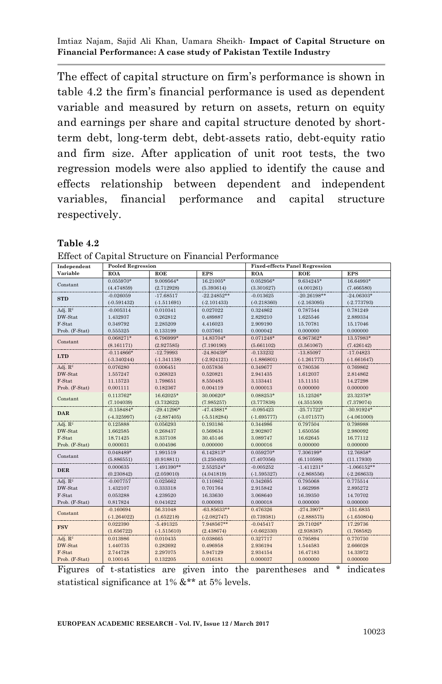The effect of capital structure on firm's performance is shown in table 4.2 the firm's financial performance is used as dependent variable and measured by return on assets, return on equity and earnings per share and capital structure denoted by shortterm debt, long-term debt, debt-assets ratio, debt-equity ratio and firm size. After application of unit root tests, the two regression models were also applied to identify the cause and effects relationship between dependent and independent variables, financial performance and capital structure respectively.

#### **Table 4.2**

| Independent         | <b>Pooled Regression</b> |               |               | <b>Fixed-effects Panel Regression</b> |               |               |
|---------------------|--------------------------|---------------|---------------|---------------------------------------|---------------|---------------|
| Variable            | <b>ROA</b>               | ROE           | <b>EPS</b>    | <b>ROA</b>                            | ROE           | <b>EPS</b>    |
| Constant            | $0.055970*$              | 9.009564*     | 16.21005*     | $0.052956*$                           | $9.634245*$   | 16.64993*     |
|                     | (4.474859)               | (2.712928)    | (5.393614)    | (3.301627)                            | (4.001261)    | (7.466580)    |
| <b>STD</b>          | $-0.026059$              | $-17.68517$   | $-22.24852**$ | $-0.013625$                           | $-20.26198**$ | $-24.06303*$  |
|                     | $(-0.591432)$            | $(-1.511691)$ | $(-2.101433)$ | $(-0.218360)$                         | $(-2.163095)$ | $(-2.773793)$ |
| Adj. $R^2$          | $-0.005314$              | 0.010341      | 0.027022      | 0.324862                              | 0.787544      | 0.781249      |
| DW-Stat             | 1.432937                 | 0.262812      | 0.489887      | 2.829210                              | 1.625546      | 2.889334      |
| F-Stat              | 0.349792                 | 2.285209      | 4.416023      | 2.909190                              | 15.70781      | 15.17046      |
| Prob. (F-Stat)      | 0.555325                 | 0.133199      | 0.037661      | 0.000042                              | 0.000000      | 0.000000      |
| Constant            | 0.068271*                | 6.796999*     | 14.83704*     | $0.071248*$                           | 6.967362*     | 13.57983*     |
|                     | (8.161171)               | (2.927585)    | (7.190190)    | (5.661102)                            | (3.561067)    | (7.426142)    |
| <b>LTD</b>          | $-0.114866*$             | $-12.79993$   | $-24.80439*$  | $-0.133232$                           | $-13.85097$   | $-17.04823$   |
|                     | $(-3.340244)$            | $(-1.341138)$ | $(-2.924121)$ | $(-1.886801)$                         | $(-1.261777)$ | $(-1.661647)$ |
| Adj. R <sup>2</sup> | 0.076280                 | 0.006451      | 0.057836      | 0.349677                              | 0.780536      | 0.769862      |
| DW-Stat             | 1.557247                 | 0.268323      | 0.520821      | 2.941435                              | 1.612037      | 2.814862      |
| F-Stat              | 11.15723                 | 1.798651      | 8.550485      | 3.133441                              | 15.11151      | 14.27298      |
| Prob. (F-Stat)      | 0.001111                 | 0.182367      | 0.004119      | 0.000013                              | 0.000000      | 0.000000      |
| Constant            | $0.113762*$              | 16.62025*     | 30.00620*     | 0.088253*                             | 15.12526*     | 23.32378*     |
|                     | (7.104039)               | (3.732622)    | (7.985257)    | (3.777838)                            | (4.351500)    | (7.379074)    |
| <b>DAR</b>          | $-0.158484*$             | $-29.41296*$  | $-47.43881*$  | $-0.095423$                           | $-25.71722*$  | $-30.91924*$  |
|                     | $(-4.325997)$            | $(-2.887405)$ | $(-5.518284)$ | $(-1.695777)$                         | $(-3.071577)$ | $(-4.061000)$ |
| Adj. R <sup>2</sup> | 0.125888                 | 0.056293      | 0.193186      | 0.344986                              | 0.797504      | 0.798988      |
| DW-Stat             | 1.662585                 | 0.268437      | 0.569634      | 2.902807                              | 1.650556      | 2.980092      |
| F-Stat              | 18.71425                 | 8.337108      | 30.45146      | 3.089747                              | 16.62645      | 16.77112      |
| Prob. (F-Stat)      | 0.000031                 | 0.004596      | 0.000000      | 0.000016                              | 0.000000      | 0.000000      |
| Constant            | $0.048489*$              | 1.991519      | $6.142813*$   | 0.059270*                             | 7.306199*     | 12.76858*     |
|                     | (5.886551)               | (0.918811)    | (3.250493)    | (7.407056)                            | (6.110598)    | (11.17930)    |
| <b>DER</b>          | 0.000635                 | 1.491390**    | 2.552524*     | $-0.005252$                           | $-1.411231*$  | $-1.066152**$ |
|                     | (0.230842)               | (2.059010)    | (4.041819)    | $(-1.595327)$                         | $(-2.868556)$ | $(-2.268633)$ |
| Adj. R <sup>2</sup> | $-0.007757$              | 0.025662      | 0.110862      | 0.342695                              | 0.795068      | 0.775514      |
| DW-Stat             | 1.432107                 | 0.333318      | 0.701764      | 2.915842                              | 1.662998      | 2.895272      |
| F-Stat              | 0.053288                 | 4.239520      | 16.33630      | 3.068640                              | 16.39350      | 14.70702      |
| Prob. (F-Stat)      | 0.817824                 | 0.041622      | 0.000093      | 0.000018                              | 0.000000      | 0.000000      |
| Constant            | $-0.160694$              | 56.31048      | $-63.85633**$ | 0.476326                              | $-274.3907*$  | $-151.6835$   |
|                     | $(-1.264022)$            | (1.652218)    | (.2.082747)   | (0.739381)                            | $(-2.888575)$ | $(-1.650804)$ |
| <b>FSV</b>          | 0.022390                 | $-5.491325$   | 7.948567**    | $-0.045417$                           | 29.71026*     | 17.29736      |
|                     | (1.656722)               | $(-1.515610)$ | (2.438674)    | $(-0.662330)$                         | (2.938387)    | (1.768582)    |
| Adj. R <sup>2</sup> | 0.013986                 | 0.010435      | 0.038665      | 0.327717                              | 0.795894      | 0.770750      |
| DW-Stat             | 1.440735                 | 0.282692      | 0.496958      | 2.936194                              | 1.544583      | 2.666028      |
| F-Stat              | 2.744728                 | 2.297075      | 5.947129      | 2.934154                              | 16.47183      | 14.33972      |
| Prob. (F-Stat)      | 0.100145                 | 0.132205      | 0.016181      | 0.000037                              | 0.000000      | 0.000000      |

Effect of Capital Structure on Financial Performance

Figures of t-statistics are given into the parentheses and \* indicates statistical significance at 1% &\*\* at 5% levels.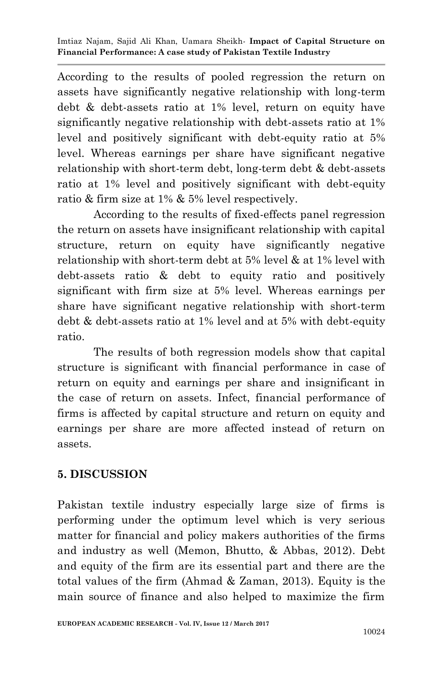According to the results of pooled regression the return on assets have significantly negative relationship with long-term debt & debt-assets ratio at 1% level, return on equity have significantly negative relationship with debt-assets ratio at 1% level and positively significant with debt-equity ratio at 5% level. Whereas earnings per share have significant negative relationship with short-term debt, long-term debt & debt-assets ratio at 1% level and positively significant with debt-equity ratio & firm size at 1% & 5% level respectively.

According to the results of fixed-effects panel regression the return on assets have insignificant relationship with capital structure, return on equity have significantly negative relationship with short-term debt at 5% level & at 1% level with debt-assets ratio & debt to equity ratio and positively significant with firm size at 5% level. Whereas earnings per share have significant negative relationship with short-term debt & debt-assets ratio at 1% level and at 5% with debt-equity ratio.

The results of both regression models show that capital structure is significant with financial performance in case of return on equity and earnings per share and insignificant in the case of return on assets. Infect, financial performance of firms is affected by capital structure and return on equity and earnings per share are more affected instead of return on assets.

# **5. DISCUSSION**

Pakistan textile industry especially large size of firms is performing under the optimum level which is very serious matter for financial and policy makers authorities of the firms and industry as well (Memon, Bhutto, & Abbas, 2012). Debt and equity of the firm are its essential part and there are the total values of the firm (Ahmad & Zaman, 2013). Equity is the main source of finance and also helped to maximize the firm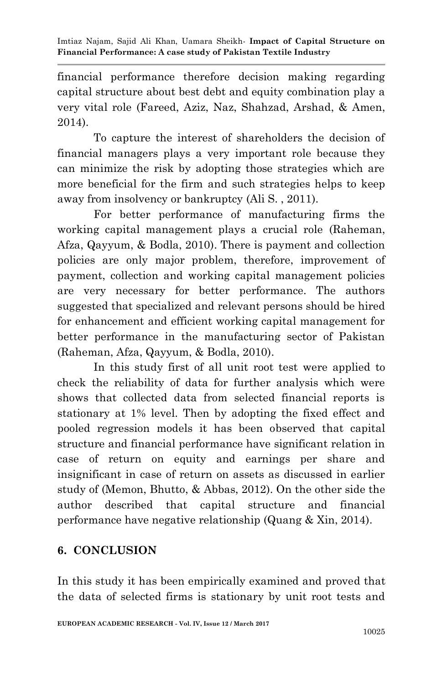financial performance therefore decision making regarding capital structure about best debt and equity combination play a very vital role (Fareed, Aziz, Naz, Shahzad, Arshad, & Amen, 2014).

To capture the interest of shareholders the decision of financial managers plays a very important role because they can minimize the risk by adopting those strategies which are more beneficial for the firm and such strategies helps to keep away from insolvency or bankruptcy (Ali S. , 2011).

For better performance of manufacturing firms the working capital management plays a crucial role (Raheman, Afza, Qayyum, & Bodla, 2010). There is payment and collection policies are only major problem, therefore, improvement of payment, collection and working capital management policies are very necessary for better performance. The authors suggested that specialized and relevant persons should be hired for enhancement and efficient working capital management for better performance in the manufacturing sector of Pakistan (Raheman, Afza, Qayyum, & Bodla, 2010).

In this study first of all unit root test were applied to check the reliability of data for further analysis which were shows that collected data from selected financial reports is stationary at 1% level. Then by adopting the fixed effect and pooled regression models it has been observed that capital structure and financial performance have significant relation in case of return on equity and earnings per share and insignificant in case of return on assets as discussed in earlier study of (Memon, Bhutto, & Abbas, 2012). On the other side the author described that capital structure and financial performance have negative relationship (Quang & Xin, 2014).

# **6. CONCLUSION**

In this study it has been empirically examined and proved that the data of selected firms is stationary by unit root tests and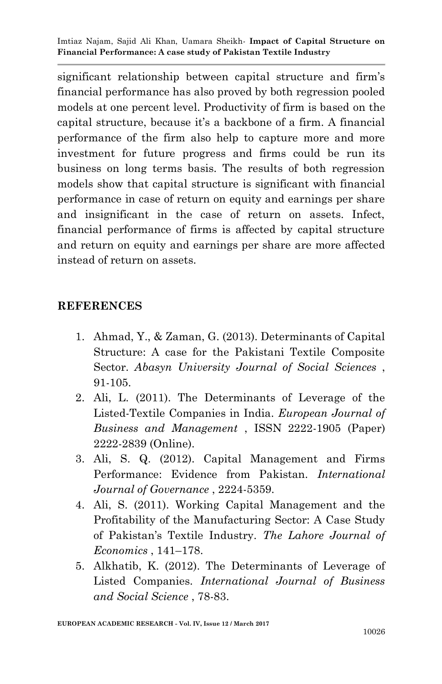significant relationship between capital structure and firm's financial performance has also proved by both regression pooled models at one percent level. Productivity of firm is based on the capital structure, because it's a backbone of a firm. A financial performance of the firm also help to capture more and more investment for future progress and firms could be run its business on long terms basis. The results of both regression models show that capital structure is significant with financial performance in case of return on equity and earnings per share and insignificant in the case of return on assets. Infect, financial performance of firms is affected by capital structure and return on equity and earnings per share are more affected instead of return on assets.

#### **REFERENCES**

- 1. Ahmad, Y., & Zaman, G. (2013). Determinants of Capital Structure: A case for the Pakistani Textile Composite Sector. *Abasyn University Journal of Social Sciences* , 91-105.
- 2. Ali, L. (2011). The Determinants of Leverage of the Listed-Textile Companies in India. *European Journal of Business and Management* , ISSN 2222-1905 (Paper) 2222-2839 (Online).
- 3. Ali, S. Q. (2012). Capital Management and Firms Performance: Evidence from Pakistan. *International Journal of Governance* , 2224-5359.
- 4. Ali, S. (2011). Working Capital Management and the Profitability of the Manufacturing Sector: A Case Study of Pakistan's Textile Industry. *The Lahore Journal of Economics* , 141–178.
- 5. Alkhatib, K. (2012). The Determinants of Leverage of Listed Companies. *International Journal of Business and Social Science* , 78-83.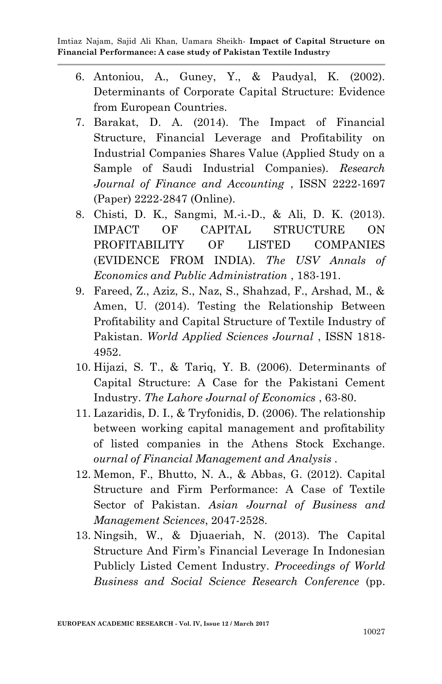- 6. Antoniou, A., Guney, Y., & Paudyal, K. (2002). Determinants of Corporate Capital Structure: Evidence from European Countries.
- 7. Barakat, D. A. (2014). The Impact of Financial Structure, Financial Leverage and Profitability on Industrial Companies Shares Value (Applied Study on a Sample of Saudi Industrial Companies). *Research Journal of Finance and Accounting* , ISSN 2222-1697 (Paper) 2222-2847 (Online).
- 8. Chisti, D. K., Sangmi, M.‐i.‐D., & Ali, D. K. (2013). IMPACT OF CAPITAL STRUCTURE ON PROFITABILITY OF LISTED COMPANIES (EVIDENCE FROM INDIA). *The USV Annals of Economics and Public Administration* , 183-191.
- 9. Fareed, Z., Aziz, S., Naz, S., Shahzad, F., Arshad, M., & Amen, U. (2014). Testing the Relationship Between Profitability and Capital Structure of Textile Industry of Pakistan. *World Applied Sciences Journal* , ISSN 1818- 4952.
- 10. Hijazi, S. T., & Tariq, Y. B. (2006). Determinants of Capital Structure: A Case for the Pakistani Cement Industry. *The Lahore Journal of Economics* , 63-80.
- 11. Lazaridis, D. I., & Tryfonidis, D. (2006). The relationship between working capital management and profitability of listed companies in the Athens Stock Exchange. *ournal of Financial Management and Analysis* .
- 12. Memon, F., Bhutto, N. A., & Abbas, G. (2012). Capital Structure and Firm Performance: A Case of Textile Sector of Pakistan. *Asian Journal of Business and Management Sciences*, 2047-2528.
- 13. Ningsih, W., & Djuaeriah, N. (2013). The Capital Structure And Firm's Financial Leverage In Indonesian Publicly Listed Cement Industry. *Proceedings of World Business and Social Science Research Conference* (pp.